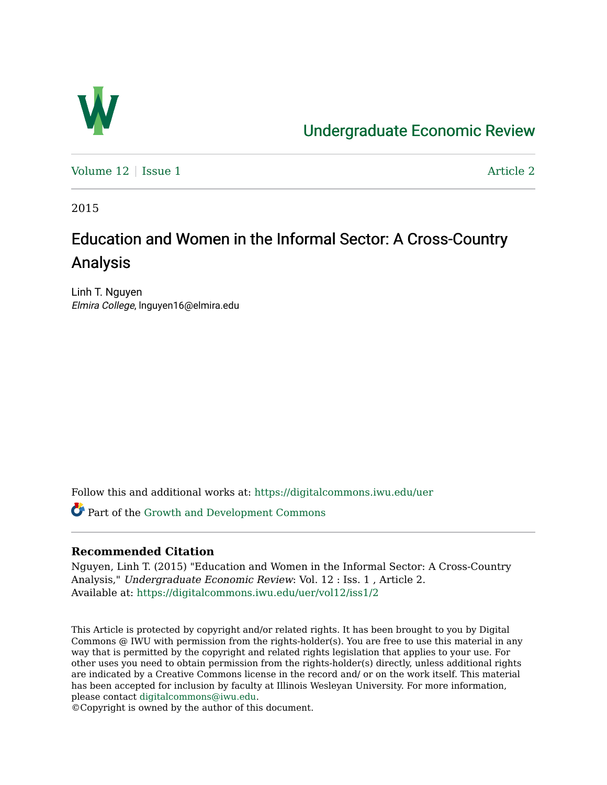

# [Undergraduate Economic Review](https://digitalcommons.iwu.edu/uer)

Volume  $12 \mid$  [Issue 1](https://digitalcommons.iwu.edu/uer/vol12/iss1)  $\blacksquare$ 

2015

# Education and Women in the Informal Sector: A Cross-Country Analysis

Linh T. Nguyen Elmira College, lnguyen16@elmira.edu

Follow this and additional works at: [https://digitalcommons.iwu.edu/uer](https://digitalcommons.iwu.edu/uer?utm_source=digitalcommons.iwu.edu%2Fuer%2Fvol12%2Fiss1%2F2&utm_medium=PDF&utm_campaign=PDFCoverPages)

Part of the [Growth and Development Commons](http://network.bepress.com/hgg/discipline/346?utm_source=digitalcommons.iwu.edu%2Fuer%2Fvol12%2Fiss1%2F2&utm_medium=PDF&utm_campaign=PDFCoverPages) 

## **Recommended Citation**

Nguyen, Linh T. (2015) "Education and Women in the Informal Sector: A Cross-Country Analysis," Undergraduate Economic Review: Vol. 12 : Iss. 1 , Article 2. Available at: [https://digitalcommons.iwu.edu/uer/vol12/iss1/2](https://digitalcommons.iwu.edu/uer/vol12/iss1/2?utm_source=digitalcommons.iwu.edu%2Fuer%2Fvol12%2Fiss1%2F2&utm_medium=PDF&utm_campaign=PDFCoverPages)

This Article is protected by copyright and/or related rights. It has been brought to you by Digital Commons @ IWU with permission from the rights-holder(s). You are free to use this material in any way that is permitted by the copyright and related rights legislation that applies to your use. For other uses you need to obtain permission from the rights-holder(s) directly, unless additional rights are indicated by a Creative Commons license in the record and/ or on the work itself. This material has been accepted for inclusion by faculty at Illinois Wesleyan University. For more information, please contact [digitalcommons@iwu.edu.](mailto:digitalcommons@iwu.edu)

©Copyright is owned by the author of this document.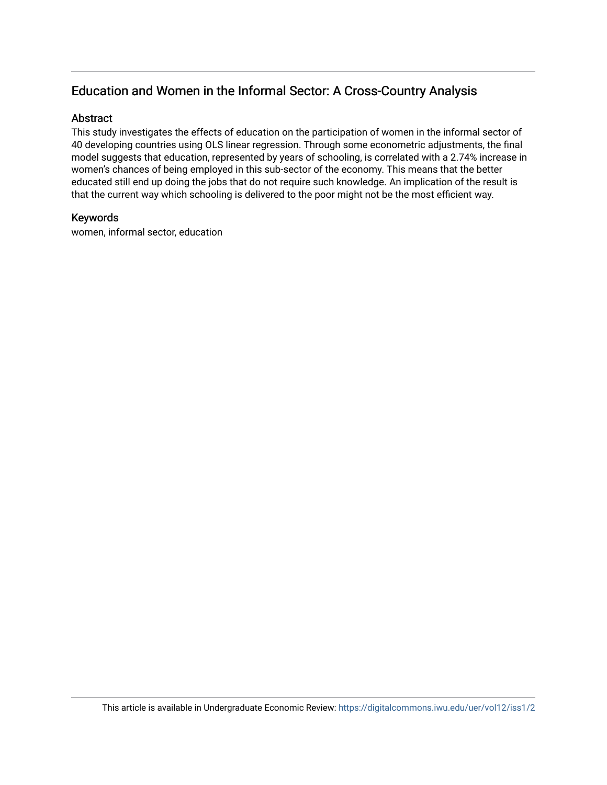# Education and Women in the Informal Sector: A Cross-Country Analysis

### **Abstract**

This study investigates the effects of education on the participation of women in the informal sector of 40 developing countries using OLS linear regression. Through some econometric adjustments, the final model suggests that education, represented by years of schooling, is correlated with a 2.74% increase in women's chances of being employed in this sub-sector of the economy. This means that the better educated still end up doing the jobs that do not require such knowledge. An implication of the result is that the current way which schooling is delivered to the poor might not be the most efficient way.

### Keywords

women, informal sector, education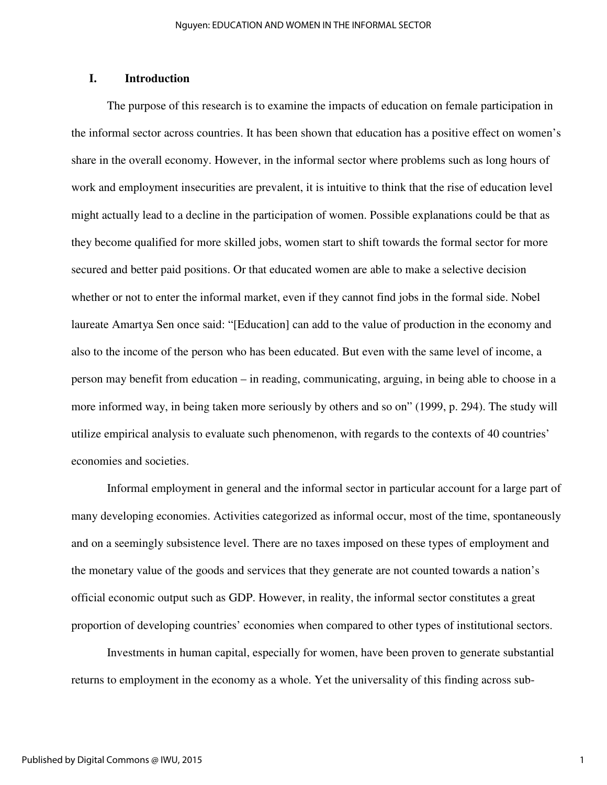### **I. Introduction**

The purpose of this research is to examine the impacts of education on female participation in the informal sector across countries. It has been shown that education has a positive effect on women's share in the overall economy. However, in the informal sector where problems such as long hours of work and employment insecurities are prevalent, it is intuitive to think that the rise of education level might actually lead to a decline in the participation of women. Possible explanations could be that as they become qualified for more skilled jobs, women start to shift towards the formal sector for more secured and better paid positions. Or that educated women are able to make a selective decision whether or not to enter the informal market, even if they cannot find jobs in the formal side. Nobel laureate Amartya Sen once said: "[Education] can add to the value of production in the economy and also to the income of the person who has been educated. But even with the same level of income, a person may benefit from education – in reading, communicating, arguing, in being able to choose in a more informed way, in being taken more seriously by others and so on" (1999, p. 294). The study will utilize empirical analysis to evaluate such phenomenon, with regards to the contexts of 40 countries' economies and societies.

Informal employment in general and the informal sector in particular account for a large part of many developing economies. Activities categorized as informal occur, most of the time, spontaneously and on a seemingly subsistence level. There are no taxes imposed on these types of employment and the monetary value of the goods and services that they generate are not counted towards a nation's official economic output such as GDP. However, in reality, the informal sector constitutes a great proportion of developing countries' economies when compared to other types of institutional sectors.

Investments in human capital, especially for women, have been proven to generate substantial returns to employment in the economy as a whole. Yet the universality of this finding across sub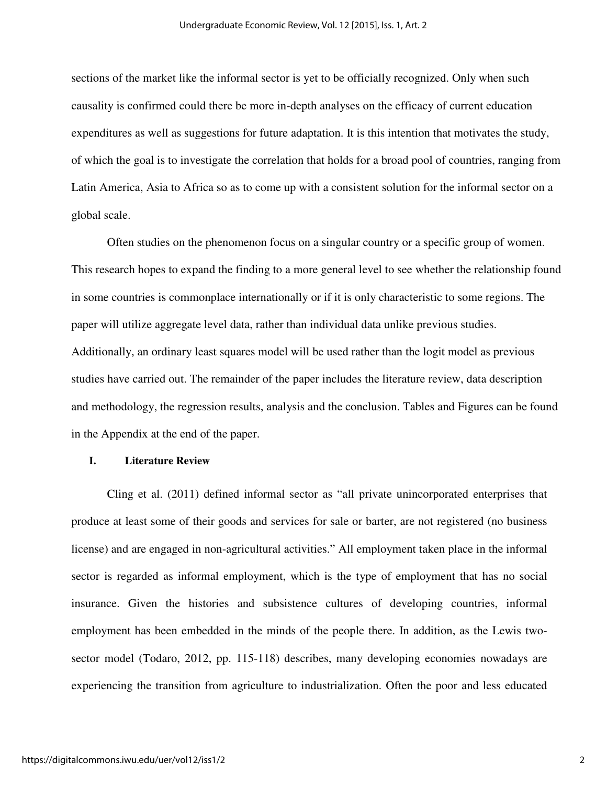sections of the market like the informal sector is yet to be officially recognized. Only when such causality is confirmed could there be more in-depth analyses on the efficacy of current education expenditures as well as suggestions for future adaptation. It is this intention that motivates the study, of which the goal is to investigate the correlation that holds for a broad pool of countries, ranging from Latin America, Asia to Africa so as to come up with a consistent solution for the informal sector on a global scale.

Often studies on the phenomenon focus on a singular country or a specific group of women. This research hopes to expand the finding to a more general level to see whether the relationship found in some countries is commonplace internationally or if it is only characteristic to some regions. The paper will utilize aggregate level data, rather than individual data unlike previous studies. Additionally, an ordinary least squares model will be used rather than the logit model as previous studies have carried out. The remainder of the paper includes the literature review, data description and methodology, the regression results, analysis and the conclusion. Tables and Figures can be found in the Appendix at the end of the paper.

#### **I. Literature Review**

Cling et al. (2011) defined informal sector as "all private unincorporated enterprises that produce at least some of their goods and services for sale or barter, are not registered (no business license) and are engaged in non-agricultural activities." All employment taken place in the informal sector is regarded as informal employment, which is the type of employment that has no social insurance. Given the histories and subsistence cultures of developing countries, informal employment has been embedded in the minds of the people there. In addition, as the Lewis twosector model (Todaro, 2012, pp. 115-118) describes, many developing economies nowadays are experiencing the transition from agriculture to industrialization. Often the poor and less educated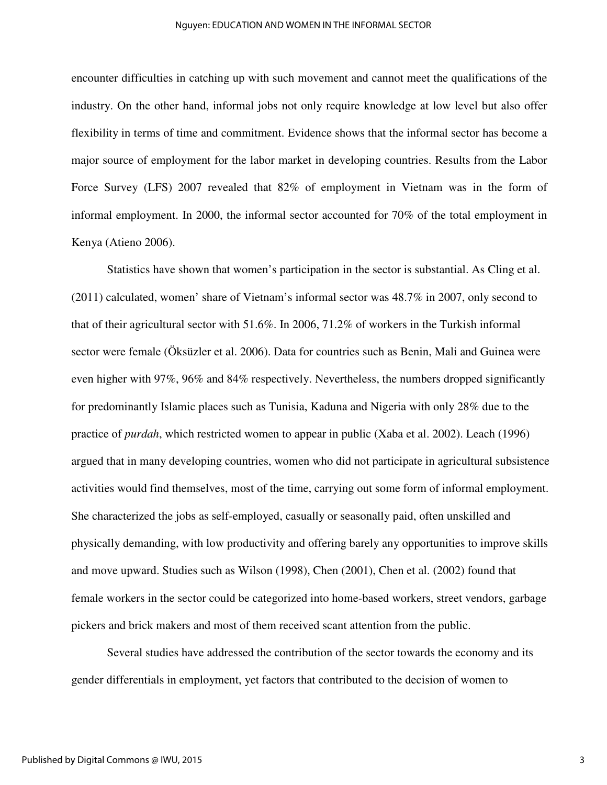#### Nguyen: EDUCATION AND WOMEN IN THE INFORMAL SECTOR

encounter difficulties in catching up with such movement and cannot meet the qualifications of the industry. On the other hand, informal jobs not only require knowledge at low level but also offer flexibility in terms of time and commitment. Evidence shows that the informal sector has become a major source of employment for the labor market in developing countries. Results from the Labor Force Survey (LFS) 2007 revealed that 82% of employment in Vietnam was in the form of informal employment. In 2000, the informal sector accounted for 70% of the total employment in Kenya (Atieno 2006).

 Statistics have shown that women's participation in the sector is substantial. As Cling et al. (2011) calculated, women' share of Vietnam's informal sector was 48.7% in 2007, only second to that of their agricultural sector with 51.6%. In 2006, 71.2% of workers in the Turkish informal sector were female (Öksüzler et al. 2006). Data for countries such as Benin, Mali and Guinea were even higher with 97%, 96% and 84% respectively. Nevertheless, the numbers dropped significantly for predominantly Islamic places such as Tunisia, Kaduna and Nigeria with only 28% due to the practice of *purdah*, which restricted women to appear in public (Xaba et al. 2002). Leach (1996) argued that in many developing countries, women who did not participate in agricultural subsistence activities would find themselves, most of the time, carrying out some form of informal employment. She characterized the jobs as self-employed, casually or seasonally paid, often unskilled and physically demanding, with low productivity and offering barely any opportunities to improve skills and move upward. Studies such as Wilson (1998), Chen (2001), Chen et al. (2002) found that female workers in the sector could be categorized into home-based workers, street vendors, garbage pickers and brick makers and most of them received scant attention from the public.

Several studies have addressed the contribution of the sector towards the economy and its gender differentials in employment, yet factors that contributed to the decision of women to

3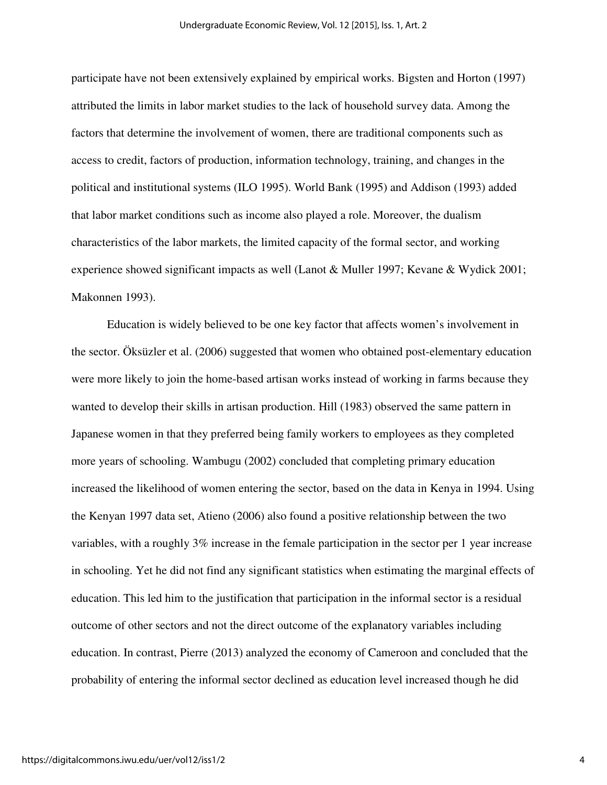participate have not been extensively explained by empirical works. Bigsten and Horton (1997) attributed the limits in labor market studies to the lack of household survey data. Among the factors that determine the involvement of women, there are traditional components such as access to credit, factors of production, information technology, training, and changes in the political and institutional systems (ILO 1995). World Bank (1995) and Addison (1993) added that labor market conditions such as income also played a role. Moreover, the dualism characteristics of the labor markets, the limited capacity of the formal sector, and working experience showed significant impacts as well (Lanot & Muller 1997; Kevane & Wydick 2001; Makonnen 1993).

Education is widely believed to be one key factor that affects women's involvement in the sector. Öksüzler et al. (2006) suggested that women who obtained post-elementary education were more likely to join the home-based artisan works instead of working in farms because they wanted to develop their skills in artisan production. Hill (1983) observed the same pattern in Japanese women in that they preferred being family workers to employees as they completed more years of schooling. Wambugu (2002) concluded that completing primary education increased the likelihood of women entering the sector, based on the data in Kenya in 1994. Using the Kenyan 1997 data set, Atieno (2006) also found a positive relationship between the two variables, with a roughly 3% increase in the female participation in the sector per 1 year increase in schooling. Yet he did not find any significant statistics when estimating the marginal effects of education. This led him to the justification that participation in the informal sector is a residual outcome of other sectors and not the direct outcome of the explanatory variables including education. In contrast, Pierre (2013) analyzed the economy of Cameroon and concluded that the probability of entering the informal sector declined as education level increased though he did

4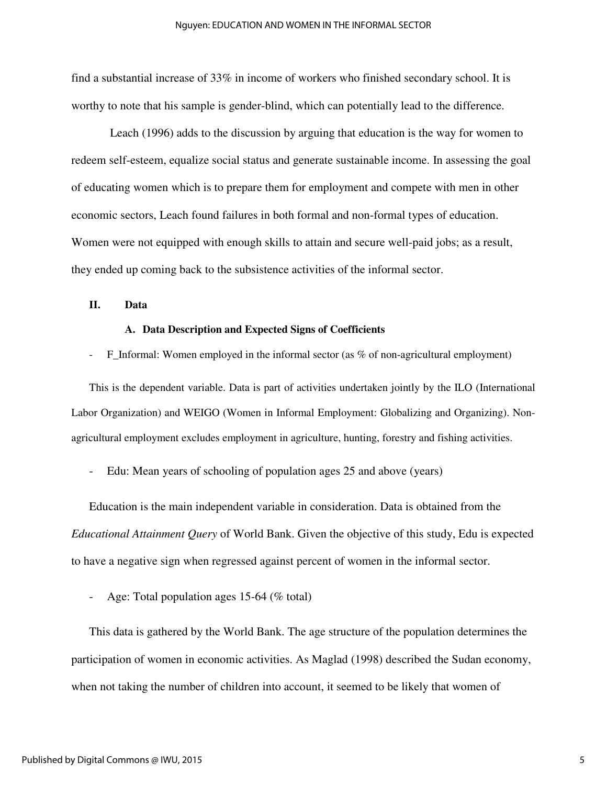find a substantial increase of 33% in income of workers who finished secondary school. It is worthy to note that his sample is gender-blind, which can potentially lead to the difference.

 Leach (1996) adds to the discussion by arguing that education is the way for women to redeem self-esteem, equalize social status and generate sustainable income. In assessing the goal of educating women which is to prepare them for employment and compete with men in other economic sectors, Leach found failures in both formal and non-formal types of education. Women were not equipped with enough skills to attain and secure well-paid jobs; as a result, they ended up coming back to the subsistence activities of the informal sector.

#### **II. Data**

#### **A. Data Description and Expected Signs of Coefficients**

F\_Informal: Women employed in the informal sector (as % of non-agricultural employment)

This is the dependent variable. Data is part of activities undertaken jointly by the ILO (International Labor Organization) and WEIGO (Women in Informal Employment: Globalizing and Organizing). Nonagricultural employment excludes employment in agriculture, hunting, forestry and fishing activities.

Edu: Mean years of schooling of population ages 25 and above (years)

Education is the main independent variable in consideration. Data is obtained from the *Educational Attainment Query* of World Bank. Given the objective of this study, Edu is expected to have a negative sign when regressed against percent of women in the informal sector.

Age: Total population ages 15-64 (% total)

This data is gathered by the World Bank. The age structure of the population determines the participation of women in economic activities. As Maglad (1998) described the Sudan economy, when not taking the number of children into account, it seemed to be likely that women of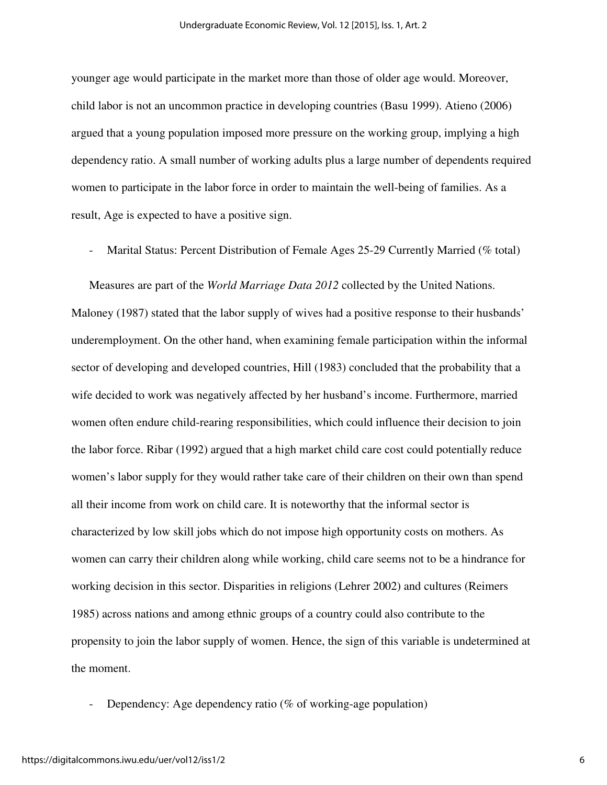younger age would participate in the market more than those of older age would. Moreover, child labor is not an uncommon practice in developing countries (Basu 1999). Atieno (2006) argued that a young population imposed more pressure on the working group, implying a high dependency ratio. A small number of working adults plus a large number of dependents required women to participate in the labor force in order to maintain the well-being of families. As a result, Age is expected to have a positive sign.

Marital Status: Percent Distribution of Female Ages 25-29 Currently Married (% total)

Measures are part of the *World Marriage Data 2012* collected by the United Nations. Maloney (1987) stated that the labor supply of wives had a positive response to their husbands' underemployment. On the other hand, when examining female participation within the informal sector of developing and developed countries, Hill (1983) concluded that the probability that a wife decided to work was negatively affected by her husband's income. Furthermore, married women often endure child-rearing responsibilities, which could influence their decision to join the labor force. Ribar (1992) argued that a high market child care cost could potentially reduce women's labor supply for they would rather take care of their children on their own than spend all their income from work on child care. It is noteworthy that the informal sector is characterized by low skill jobs which do not impose high opportunity costs on mothers. As women can carry their children along while working, child care seems not to be a hindrance for working decision in this sector. Disparities in religions (Lehrer 2002) and cultures (Reimers 1985) across nations and among ethnic groups of a country could also contribute to the propensity to join the labor supply of women. Hence, the sign of this variable is undetermined at the moment.

Dependency: Age dependency ratio ( $\%$  of working-age population)

6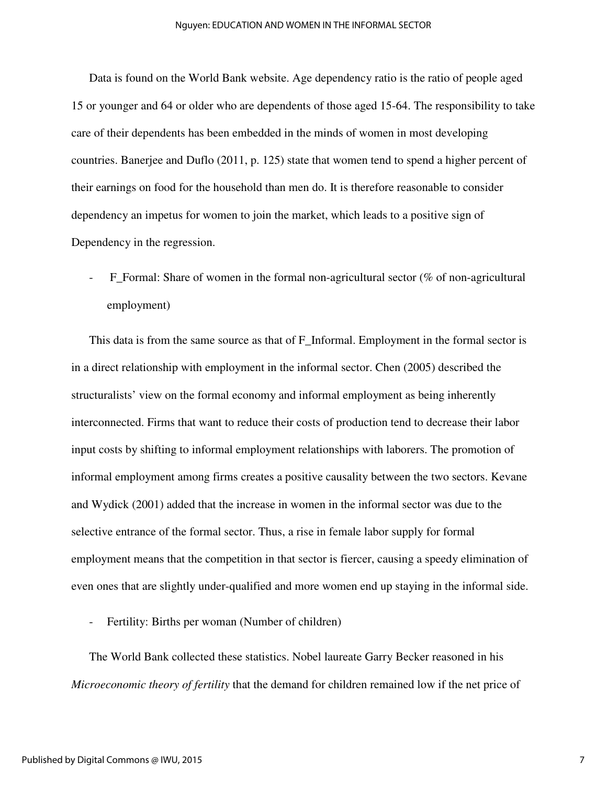#### Nguyen: EDUCATION AND WOMEN IN THE INFORMAL SECTOR

Data is found on the World Bank website. Age dependency ratio is the ratio of people aged 15 or younger and 64 or older who are dependents of those aged 15-64. The responsibility to take care of their dependents has been embedded in the minds of women in most developing countries. Banerjee and Duflo (2011, p. 125) state that women tend to spend a higher percent of their earnings on food for the household than men do. It is therefore reasonable to consider dependency an impetus for women to join the market, which leads to a positive sign of Dependency in the regression.

F\_Formal: Share of women in the formal non-agricultural sector (% of non-agricultural employment)

This data is from the same source as that of F\_Informal. Employment in the formal sector is in a direct relationship with employment in the informal sector. Chen (2005) described the structuralists' view on the formal economy and informal employment as being inherently interconnected. Firms that want to reduce their costs of production tend to decrease their labor input costs by shifting to informal employment relationships with laborers. The promotion of informal employment among firms creates a positive causality between the two sectors. Kevane and Wydick (2001) added that the increase in women in the informal sector was due to the selective entrance of the formal sector. Thus, a rise in female labor supply for formal employment means that the competition in that sector is fiercer, causing a speedy elimination of even ones that are slightly under-qualified and more women end up staying in the informal side.

Fertility: Births per woman (Number of children)

The World Bank collected these statistics. Nobel laureate Garry Becker reasoned in his *Microeconomic theory of fertility* that the demand for children remained low if the net price of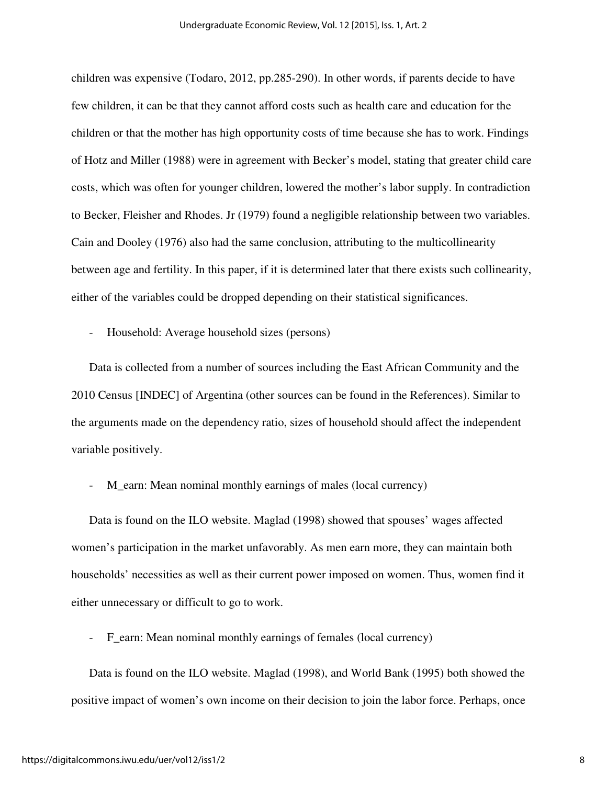children was expensive (Todaro, 2012, pp.285-290). In other words, if parents decide to have few children, it can be that they cannot afford costs such as health care and education for the children or that the mother has high opportunity costs of time because she has to work. Findings of Hotz and Miller (1988) were in agreement with Becker's model, stating that greater child care costs, which was often for younger children, lowered the mother's labor supply. In contradiction to Becker, Fleisher and Rhodes. Jr (1979) found a negligible relationship between two variables. Cain and Dooley (1976) also had the same conclusion, attributing to the multicollinearity between age and fertility. In this paper, if it is determined later that there exists such collinearity, either of the variables could be dropped depending on their statistical significances.

Household: Average household sizes (persons)

Data is collected from a number of sources including the East African Community and the 2010 Census [INDEC] of Argentina (other sources can be found in the References). Similar to the arguments made on the dependency ratio, sizes of household should affect the independent variable positively.

M\_earn: Mean nominal monthly earnings of males (local currency)

Data is found on the ILO website. Maglad (1998) showed that spouses' wages affected women's participation in the market unfavorably. As men earn more, they can maintain both households' necessities as well as their current power imposed on women. Thus, women find it either unnecessary or difficult to go to work.

- F\_earn: Mean nominal monthly earnings of females (local currency)

Data is found on the ILO website. Maglad (1998), and World Bank (1995) both showed the positive impact of women's own income on their decision to join the labor force. Perhaps, once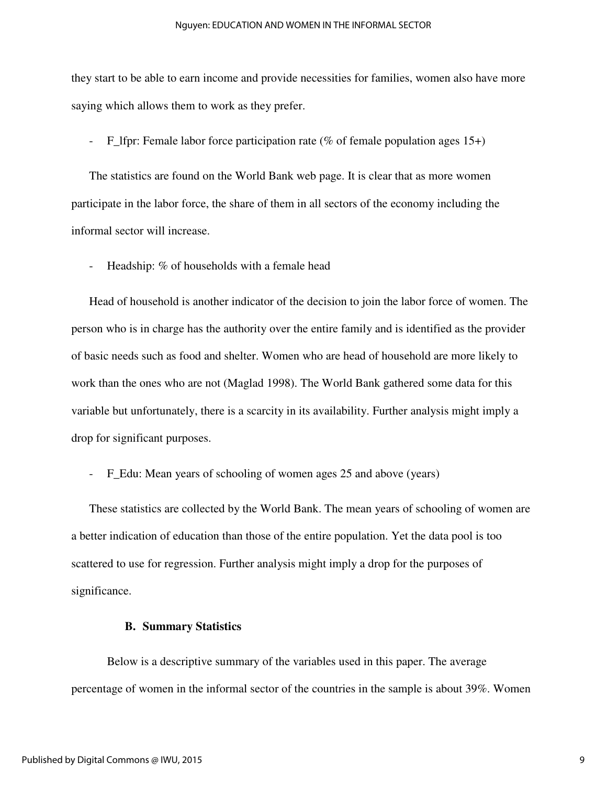#### Nguyen: EDUCATION AND WOMEN IN THE INFORMAL SECTOR

they start to be able to earn income and provide necessities for families, women also have more saying which allows them to work as they prefer.

F\_lfpr: Female labor force participation rate (% of female population ages  $15+)$ )

The statistics are found on the World Bank web page. It is clear that as more women participate in the labor force, the share of them in all sectors of the economy including the informal sector will increase.

Headship: % of households with a female head

Head of household is another indicator of the decision to join the labor force of women. The person who is in charge has the authority over the entire family and is identified as the provider of basic needs such as food and shelter. Women who are head of household are more likely to work than the ones who are not (Maglad 1998). The World Bank gathered some data for this variable but unfortunately, there is a scarcity in its availability. Further analysis might imply a drop for significant purposes.

F\_Edu: Mean years of schooling of women ages 25 and above (years)

These statistics are collected by the World Bank. The mean years of schooling of women are a better indication of education than those of the entire population. Yet the data pool is too scattered to use for regression. Further analysis might imply a drop for the purposes of significance.

#### **B. Summary Statistics**

Below is a descriptive summary of the variables used in this paper. The average percentage of women in the informal sector of the countries in the sample is about 39%. Women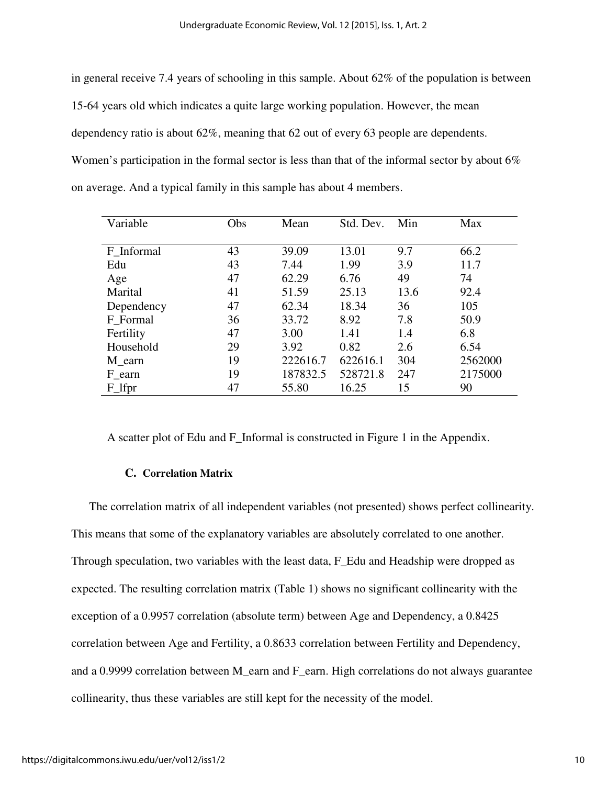in general receive 7.4 years of schooling in this sample. About 62% of the population is between 15-64 years old which indicates a quite large working population. However, the mean dependency ratio is about 62%, meaning that 62 out of every 63 people are dependents. Women's participation in the formal sector is less than that of the informal sector by about 6% on average. And a typical family in this sample has about 4 members.

| Variable   | Obs | Mean     | Std. Dev. | Min  | Max     |
|------------|-----|----------|-----------|------|---------|
|            |     |          |           |      |         |
| F Informal | 43  | 39.09    | 13.01     | 9.7  | 66.2    |
| Edu        | 43  | 7.44     | 1.99      | 3.9  | 11.7    |
| Age        | 47  | 62.29    | 6.76      | 49   | 74      |
| Marital    | 41  | 51.59    | 25.13     | 13.6 | 92.4    |
| Dependency | 47  | 62.34    | 18.34     | 36   | 105     |
| F_Formal   | 36  | 33.72    | 8.92      | 7.8  | 50.9    |
| Fertility  | 47  | 3.00     | 1.41      | 1.4  | 6.8     |
| Household  | 29  | 3.92     | 0.82      | 2.6  | 6.54    |
| M earn     | 19  | 222616.7 | 622616.1  | 304  | 2562000 |
| F_earn     | 19  | 187832.5 | 528721.8  | 247  | 2175000 |
| F_lfpr     | 47  | 55.80    | 16.25     | 15   | 90      |

A scatter plot of Edu and F\_Informal is constructed in Figure 1 in the Appendix.

#### **C. Correlation Matrix**

The correlation matrix of all independent variables (not presented) shows perfect collinearity. This means that some of the explanatory variables are absolutely correlated to one another. Through speculation, two variables with the least data, F\_Edu and Headship were dropped as expected. The resulting correlation matrix (Table 1) shows no significant collinearity with the exception of a 0.9957 correlation (absolute term) between Age and Dependency, a 0.8425 correlation between Age and Fertility, a 0.8633 correlation between Fertility and Dependency, and a 0.9999 correlation between M\_earn and F\_earn. High correlations do not always guarantee collinearity, thus these variables are still kept for the necessity of the model.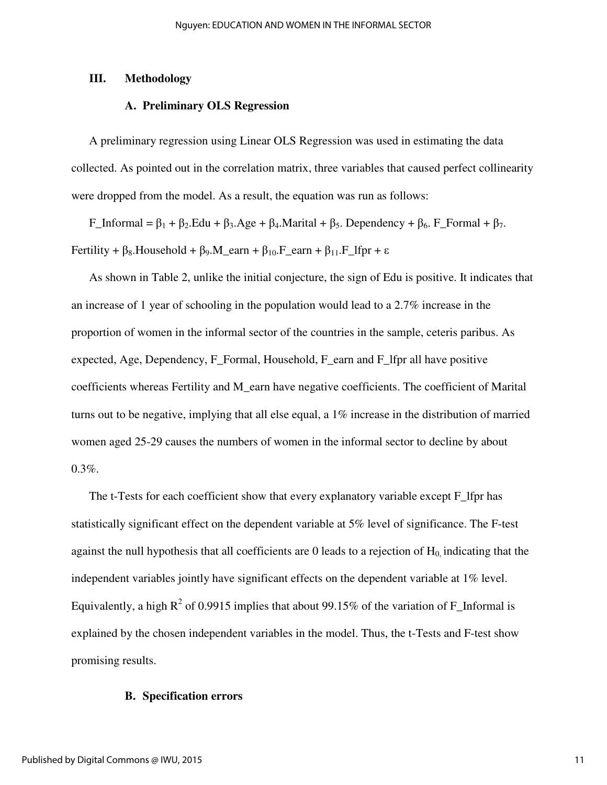#### **III. Methodology**

#### **A. Preliminary OLS Regression**

A preliminary regression using Linear OLS Regression was used in estimating the data collected. As pointed out in the correlation matrix, three variables that caused perfect collinearity were dropped from the model. As a result, the equation was run as follows:

F\_Informal =  $\beta_1$  +  $\beta_2$ .Edu +  $\beta_3$ .Age +  $\beta_4$ .Marital +  $\beta_5$ . Dependency +  $\beta_6$ . F\_Formal +  $\beta_7$ . Fertility +  $\beta_8$ . Household +  $\beta_9$ . M\_earn +  $\beta_{10}$ . F\_earn +  $\beta_{11}$ . F\_lfpr +  $\varepsilon$ 

As shown in Table 2, unlike the initial conjecture, the sign of Edu is positive. It indicates that an increase of 1 year of schooling in the population would lead to a 2.7% increase in the proportion of women in the informal sector of the countries in the sample, ceteris paribus. As expected, Age, Dependency, F\_Formal, Household, F\_earn and F\_lfpr all have positive coefficients whereas Fertility and M\_earn have negative coefficients. The coefficient of Marital turns out to be negative, implying that all else equal, a 1% increase in the distribution of married women aged 25-29 causes the numbers of women in the informal sector to decline by about  $0.3\%$ .

The t-Tests for each coefficient show that every explanatory variable except F lfpr has statistically significant effect on the dependent variable at 5% level of significance. The F-test against the null hypothesis that all coefficients are 0 leads to a rejection of  $H_0$  indicating that the independent variables jointly have significant effects on the dependent variable at 1% level. Equivalently, a high  $R^2$  of 0.9915 implies that about 99.15% of the variation of F\_Informal is explained by the chosen independent variables in the model. Thus, the t-Tests and F-test show promising results.

#### **B. Specification errors**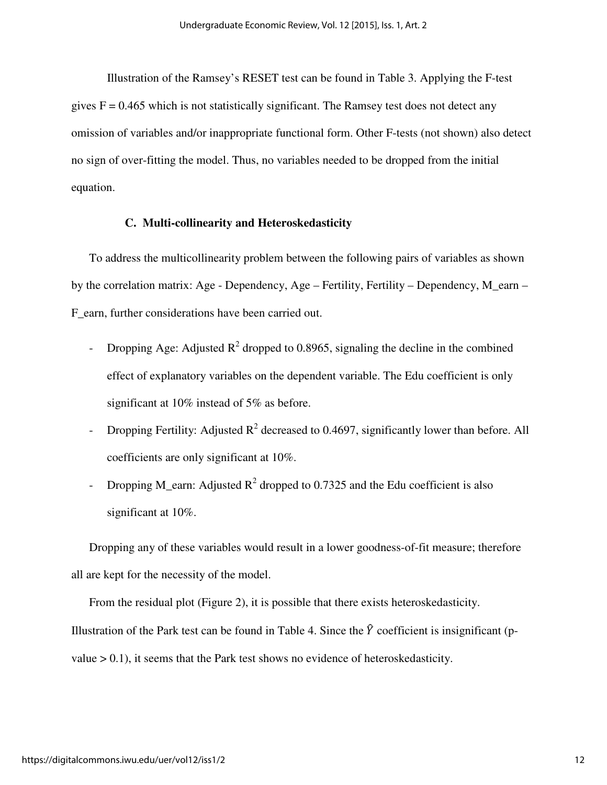Illustration of the Ramsey's RESET test can be found in Table 3. Applying the F-test gives  $F = 0.465$  which is not statistically significant. The Ramsey test does not detect any omission of variables and/or inappropriate functional form. Other F-tests (not shown) also detect no sign of over-fitting the model. Thus, no variables needed to be dropped from the initial equation.

#### **C. Multi-collinearity and Heteroskedasticity**

To address the multicollinearity problem between the following pairs of variables as shown by the correlation matrix: Age - Dependency, Age – Fertility, Fertility – Dependency, M\_earn – F\_earn, further considerations have been carried out.

- Dropping Age: Adjusted  $R^2$  dropped to 0.8965, signaling the decline in the combined effect of explanatory variables on the dependent variable. The Edu coefficient is only significant at 10% instead of 5% as before.
- Dropping Fertility: Adjusted  $R^2$  decreased to 0.4697, significantly lower than before. All coefficients are only significant at 10%.
- Dropping M\_earn: Adjusted  $R^2$  dropped to 0.7325 and the Edu coefficient is also significant at 10%.

Dropping any of these variables would result in a lower goodness-of-fit measure; therefore all are kept for the necessity of the model.

From the residual plot (Figure 2), it is possible that there exists heteroskedasticity. Illustration of the Park test can be found in Table 4. Since the  $\hat{Y}$  coefficient is insignificant (pvalue  $> 0.1$ ), it seems that the Park test shows no evidence of heteroskedasticity.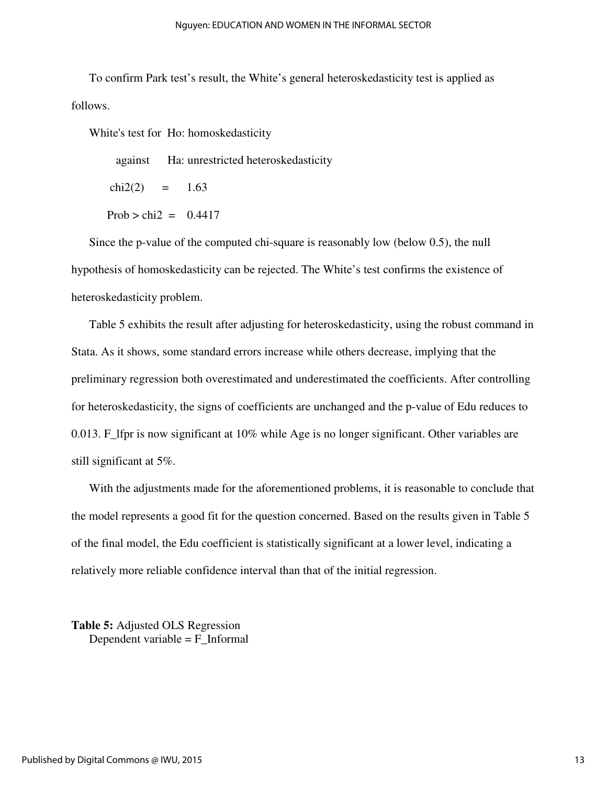To confirm Park test's result, the White's general heteroskedasticity test is applied as follows.

White's test for Ho: homoskedasticity

against Ha: unrestricted heteroskedasticity

 $chi2(2) = 1.63$ 

Prob  $>$  chi $2 = 0.4417$ 

Since the p-value of the computed chi-square is reasonably low (below 0.5), the null hypothesis of homoskedasticity can be rejected. The White's test confirms the existence of heteroskedasticity problem.

Table 5 exhibits the result after adjusting for heteroskedasticity, using the robust command in Stata. As it shows, some standard errors increase while others decrease, implying that the preliminary regression both overestimated and underestimated the coefficients. After controlling for heteroskedasticity, the signs of coefficients are unchanged and the p-value of Edu reduces to 0.013. F\_lfpr is now significant at 10% while Age is no longer significant. Other variables are still significant at 5%.

With the adjustments made for the aforementioned problems, it is reasonable to conclude that the model represents a good fit for the question concerned. Based on the results given in Table 5 of the final model, the Edu coefficient is statistically significant at a lower level, indicating a relatively more reliable confidence interval than that of the initial regression.

**Table 5:** Adjusted OLS Regression Dependent variable  $=$   $F_$ Informal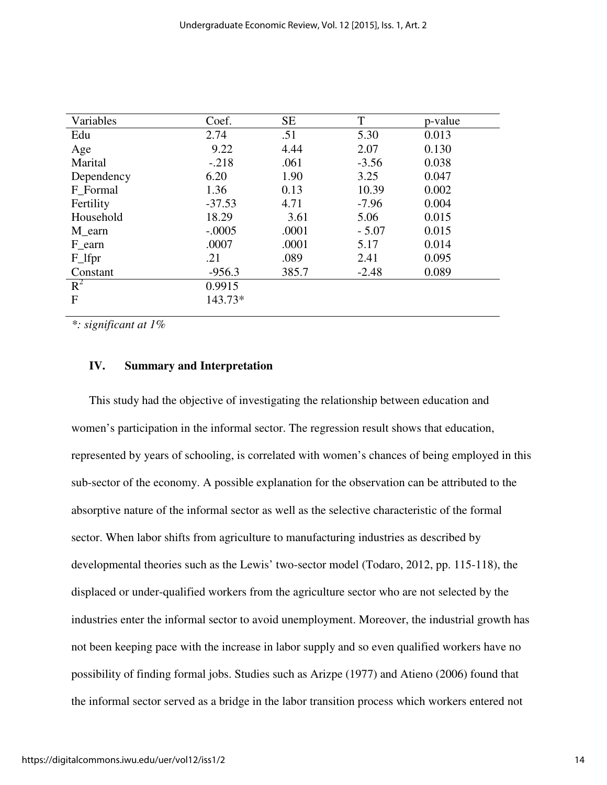| Variables  | Coef.    | <b>SE</b> | T       | p-value |
|------------|----------|-----------|---------|---------|
| Edu        | 2.74     | .51       | 5.30    | 0.013   |
| Age        | 9.22     | 4.44      | 2.07    | 0.130   |
| Marital    | $-.218$  | .061      | $-3.56$ | 0.038   |
| Dependency | 6.20     | 1.90      | 3.25    | 0.047   |
| F Formal   | 1.36     | 0.13      | 10.39   | 0.002   |
| Fertility  | $-37.53$ | 4.71      | $-7.96$ | 0.004   |
| Household  | 18.29    | 3.61      | 5.06    | 0.015   |
| M_earn     | $-.0005$ | .0001     | $-5.07$ | 0.015   |
| F earn     | .0007    | .0001     | 5.17    | 0.014   |
| F_lfpr     | .21      | .089      | 2.41    | 0.095   |
| Constant   | $-956.3$ | 385.7     | $-2.48$ | 0.089   |
| $R^2$      | 0.9915   |           |         |         |
| F          | 143.73*  |           |         |         |
|            |          |           |         |         |

*\*: significant at 1%* 

### **IV. Summary and Interpretation**

This study had the objective of investigating the relationship between education and women's participation in the informal sector. The regression result shows that education, represented by years of schooling, is correlated with women's chances of being employed in this sub-sector of the economy. A possible explanation for the observation can be attributed to the absorptive nature of the informal sector as well as the selective characteristic of the formal sector. When labor shifts from agriculture to manufacturing industries as described by developmental theories such as the Lewis' two-sector model (Todaro, 2012, pp. 115-118), the displaced or under-qualified workers from the agriculture sector who are not selected by the industries enter the informal sector to avoid unemployment. Moreover, the industrial growth has not been keeping pace with the increase in labor supply and so even qualified workers have no possibility of finding formal jobs. Studies such as Arizpe (1977) and Atieno (2006) found that the informal sector served as a bridge in the labor transition process which workers entered not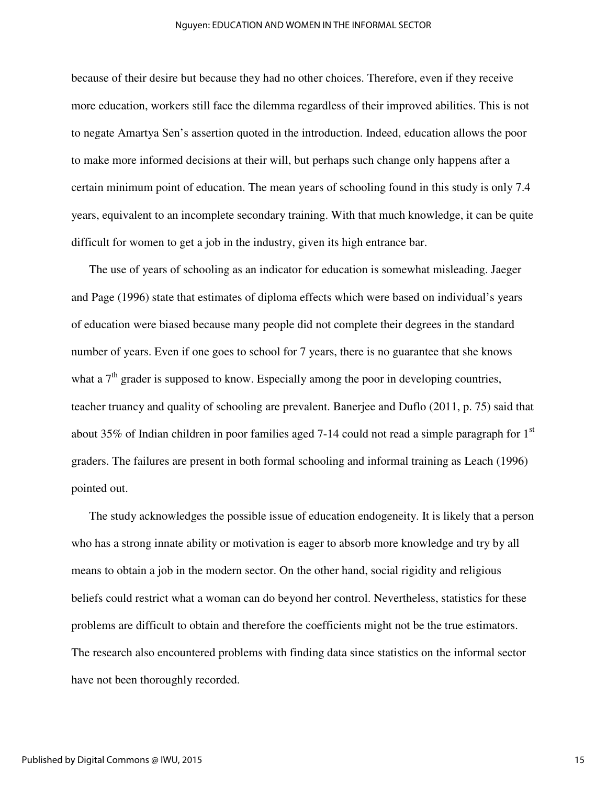#### Nguyen: EDUCATION AND WOMEN IN THE INFORMAL SECTOR

because of their desire but because they had no other choices. Therefore, even if they receive more education, workers still face the dilemma regardless of their improved abilities. This is not to negate Amartya Sen's assertion quoted in the introduction. Indeed, education allows the poor to make more informed decisions at their will, but perhaps such change only happens after a certain minimum point of education. The mean years of schooling found in this study is only 7.4 years, equivalent to an incomplete secondary training. With that much knowledge, it can be quite difficult for women to get a job in the industry, given its high entrance bar.

The use of years of schooling as an indicator for education is somewhat misleading. Jaeger and Page (1996) state that estimates of diploma effects which were based on individual's years of education were biased because many people did not complete their degrees in the standard number of years. Even if one goes to school for 7 years, there is no guarantee that she knows what a  $7<sup>th</sup>$  grader is supposed to know. Especially among the poor in developing countries, teacher truancy and quality of schooling are prevalent. Banerjee and Duflo (2011, p. 75) said that about 35% of Indian children in poor families aged 7-14 could not read a simple paragraph for  $1<sup>st</sup>$ graders. The failures are present in both formal schooling and informal training as Leach (1996) pointed out.

The study acknowledges the possible issue of education endogeneity. It is likely that a person who has a strong innate ability or motivation is eager to absorb more knowledge and try by all means to obtain a job in the modern sector. On the other hand, social rigidity and religious beliefs could restrict what a woman can do beyond her control. Nevertheless, statistics for these problems are difficult to obtain and therefore the coefficients might not be the true estimators. The research also encountered problems with finding data since statistics on the informal sector have not been thoroughly recorded.

15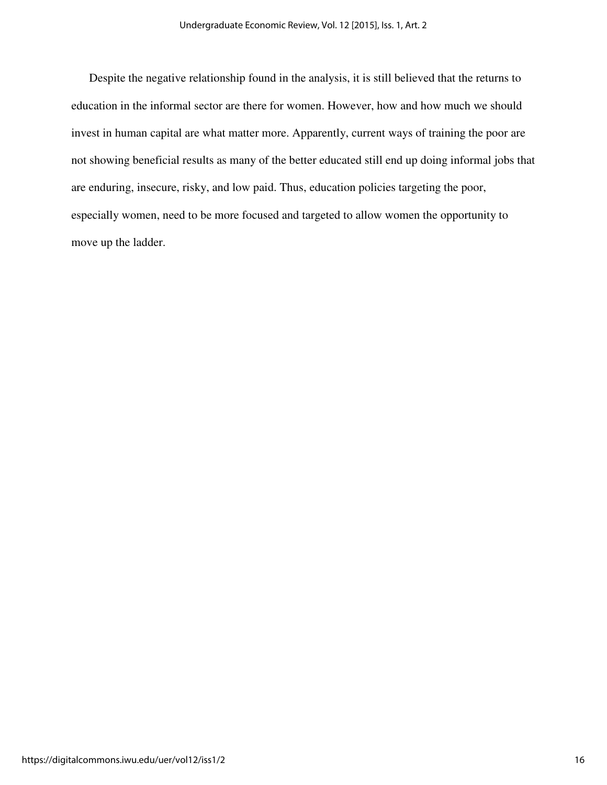Despite the negative relationship found in the analysis, it is still believed that the returns to education in the informal sector are there for women. However, how and how much we should invest in human capital are what matter more. Apparently, current ways of training the poor are not showing beneficial results as many of the better educated still end up doing informal jobs that are enduring, insecure, risky, and low paid. Thus, education policies targeting the poor, especially women, need to be more focused and targeted to allow women the opportunity to move up the ladder.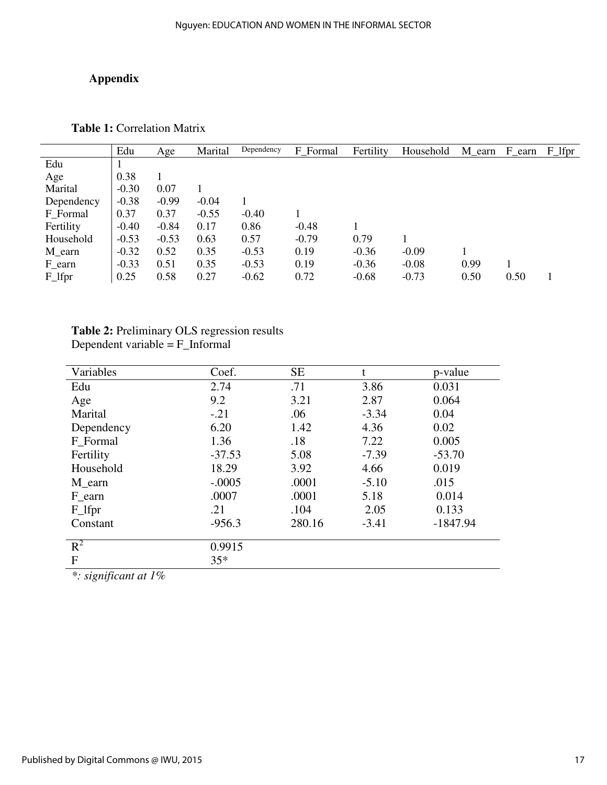# **Appendix**

**Table 1:** Correlation Matrix

|            | Edu     | Age     | Marital | Dependency | F Formal | Fertility | Household | M_earn | F_earn | $F_I$ |
|------------|---------|---------|---------|------------|----------|-----------|-----------|--------|--------|-------|
| Edu        |         |         |         |            |          |           |           |        |        |       |
| Age        | 0.38    |         |         |            |          |           |           |        |        |       |
| Marital    | $-0.30$ | 0.07    |         |            |          |           |           |        |        |       |
| Dependency | $-0.38$ | $-0.99$ | $-0.04$ |            |          |           |           |        |        |       |
| F Formal   | 0.37    | 0.37    | $-0.55$ | $-0.40$    |          |           |           |        |        |       |
| Fertility  | $-0.40$ | $-0.84$ | 0.17    | 0.86       | $-0.48$  |           |           |        |        |       |
| Household  | $-0.53$ | $-0.53$ | 0.63    | 0.57       | $-0.79$  | 0.79      |           |        |        |       |
| M_earn     | $-0.32$ | 0.52    | 0.35    | $-0.53$    | 0.19     | $-0.36$   | $-0.09$   |        |        |       |
| F_earn     | $-0.33$ | 0.51    | 0.35    | $-0.53$    | 0.19     | $-0.36$   | $-0.08$   | 0.99   |        |       |
| $F_l$      | 0.25    | 0.58    | 0.27    | $-0.62$    | 0.72     | $-0.68$   | $-0.73$   | 0.50   | 0.50   |       |

## **Table 2:** Preliminary OLS regression results Dependent variable = F\_Informal

| Variables  | Coef.    | <b>SE</b> | t       | p-value    |
|------------|----------|-----------|---------|------------|
| Edu        | 2.74     | .71       | 3.86    | 0.031      |
| Age        | 9.2      | 3.21      | 2.87    | 0.064      |
| Marital    | $-.21$   | .06       | $-3.34$ | 0.04       |
| Dependency | 6.20     | 1.42      | 4.36    | 0.02       |
| F_Formal   | 1.36     | .18       | 7.22    | 0.005      |
| Fertility  | $-37.53$ | 5.08      | $-7.39$ | $-53.70$   |
| Household  | 18.29    | 3.92      | 4.66    | 0.019      |
| M earn     | $-.0005$ | .0001     | $-5.10$ | .015       |
| F_earn     | .0007    | .0001     | 5.18    | 0.014      |
| $F_l$      | .21      | .104      | 2.05    | 0.133      |
| Constant   | $-956.3$ | 280.16    | $-3.41$ | $-1847.94$ |
| $R^2$      | 0.9915   |           |         |            |
| F          | $35*$    |           |         |            |

*\*: significant at 1%*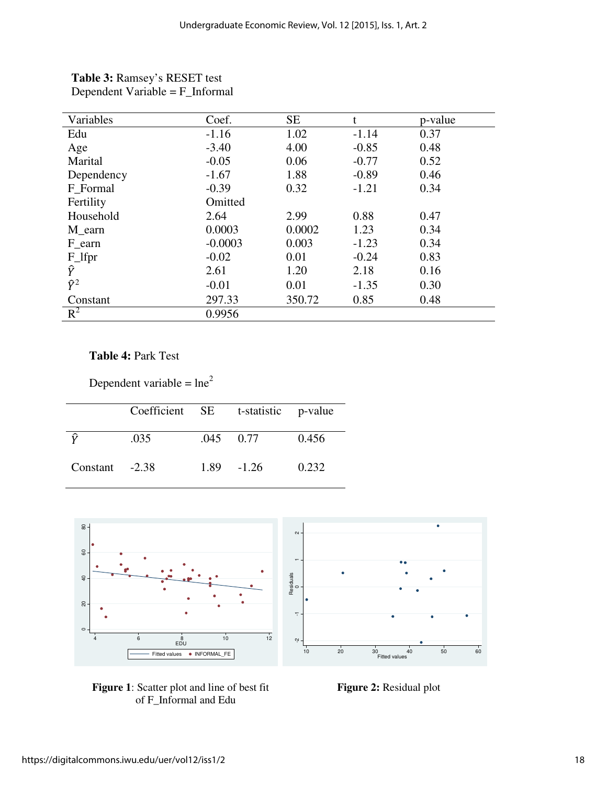| Variables   | Coef.     | <b>SE</b> | t       | p-value |
|-------------|-----------|-----------|---------|---------|
| Edu         | $-1.16$   | 1.02      | $-1.14$ | 0.37    |
| Age         | $-3.40$   | 4.00      | $-0.85$ | 0.48    |
| Marital     | $-0.05$   | 0.06      | $-0.77$ | 0.52    |
| Dependency  | $-1.67$   | 1.88      | $-0.89$ | 0.46    |
| F Formal    | $-0.39$   | 0.32      | $-1.21$ | 0.34    |
| Fertility   | Omitted   |           |         |         |
| Household   | 2.64      | 2.99      | 0.88    | 0.47    |
| M_earn      | 0.0003    | 0.0002    | 1.23    | 0.34    |
| F_earn      | $-0.0003$ | 0.003     | $-1.23$ | 0.34    |
| $F_l$       | $-0.02$   | 0.01      | $-0.24$ | 0.83    |
| Ŷ           | 2.61      | 1.20      | 2.18    | 0.16    |
| $\hat{Y}^2$ | $-0.01$   | 0.01      | $-1.35$ | 0.30    |
| Constant    | 297.33    | 350.72    | 0.85    | 0.48    |
| $R^2$       | 0.9956    |           |         |         |

**Table 3:** Ramsey's RESET test Dependent Variable = F\_Informal

# **Table 4:** Park Test

Dependent variable =  $\ln e^2$ 

|                  | Coefficient SE | t-statistic p-value |       |
|------------------|----------------|---------------------|-------|
|                  | .035           | $.045 \qquad 0.77$  | 0.456 |
| Constant $-2.38$ |                | $1.89 - 1.26$       | 0.232 |



**Figure 1**: Scatter plot and line of best fit **Figure 2:** Residual plot of F\_Informal and Edu

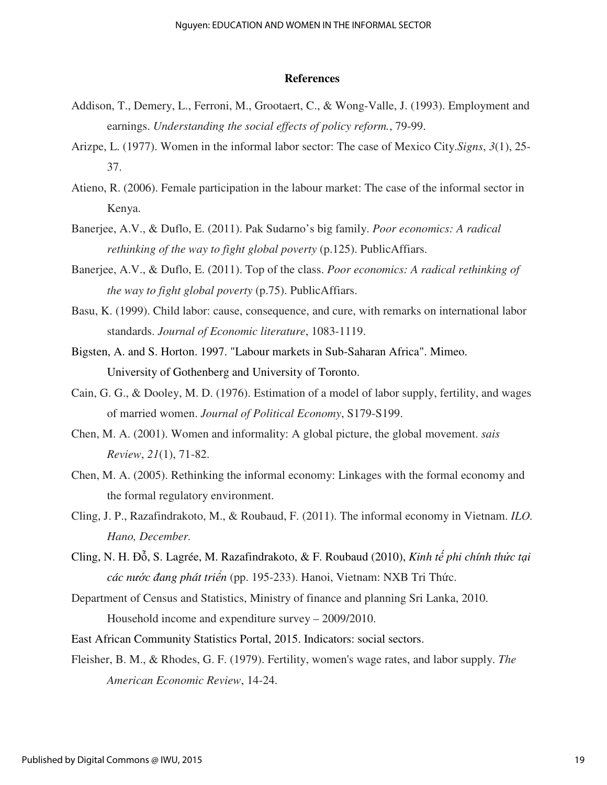#### **References**

- Addison, T., Demery, L., Ferroni, M., Grootaert, C., & Wong-Valle, J. (1993). Employment and earnings. *Understanding the social effects of policy reform.*, 79-99.
- Arizpe, L. (1977). Women in the informal labor sector: The case of Mexico City.*Signs*, *3*(1), 25- 37.
- Atieno, R. (2006). Female participation in the labour market: The case of the informal sector in Kenya.
- Banerjee, A.V., & Duflo, E. (2011). Pak Sudarno's big family. *Poor economics: A radical rethinking of the way to fight global poverty* (p.125). PublicAffiars.
- Banerjee, A.V., & Duflo, E. (2011). Top of the class. *Poor economics: A radical rethinking of the way to fight global poverty* (p.75). PublicAffiars.
- Basu, K. (1999). Child labor: cause, consequence, and cure, with remarks on international labor standards. *Journal of Economic literature*, 1083-1119.
- Bigsten, A. and S. Horton. 1997. "Labour markets in Sub-Saharan Africa". Mimeo. University of Gothenberg and University of Toronto.
- Cain, G. G., & Dooley, M. D. (1976). Estimation of a model of labor supply, fertility, and wages of married women. *Journal of Political Economy*, S179-S199.
- Chen, M. A. (2001). Women and informality: A global picture, the global movement. *sais Review*, *21*(1), 71-82.
- Chen, M. A. (2005). Rethinking the informal economy: Linkages with the formal economy and the formal regulatory environment.
- Cling, J. P., Razafindrakoto, M., & Roubaud, F. (2011). The informal economy in Vietnam. *ILO. Hano, December.*
- Cling, N. H. ðỗ, S. Lagrée, M. Razafindrakoto, & F. Roubaud (2010), *Kinh t*ế *phi chính th*ứ*c t*ạ*i các n*ướ*c* ñ*ang phát tri*ể*n* (pp. 195-233). Hanoi, Vietnam: NXB Tri Thức.
- Department of Census and Statistics, Ministry of finance and planning Sri Lanka, 2010. Household income and expenditure survey – 2009/2010.
- East African Community Statistics Portal, 2015. Indicators: social sectors.
- Fleisher, B. M., & Rhodes, G. F. (1979). Fertility, women's wage rates, and labor supply. *The American Economic Review*, 14-24.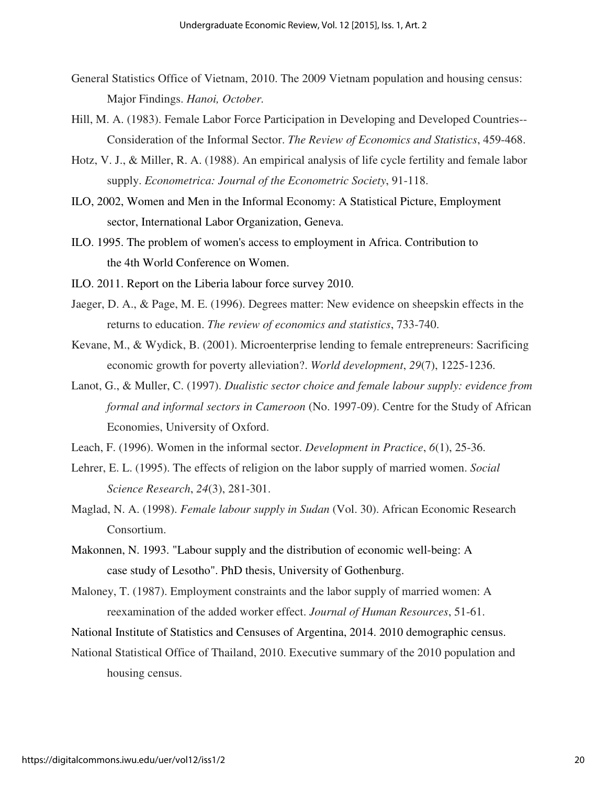- General Statistics Office of Vietnam, 2010. The 2009 Vietnam population and housing census: Major Findings. *Hanoi, October.*
- Hill, M. A. (1983). Female Labor Force Participation in Developing and Developed Countries-- Consideration of the Informal Sector. *The Review of Economics and Statistics*, 459-468.
- Hotz, V. J., & Miller, R. A. (1988). An empirical analysis of life cycle fertility and female labor supply. *Econometrica: Journal of the Econometric Society*, 91-118.
- ILO, 2002, Women and Men in the Informal Economy: A Statistical Picture, Employment sector, International Labor Organization, Geneva.
- ILO. 1995. The problem of women's access to employment in Africa. Contribution to the 4th World Conference on Women.
- ILO. 2011. Report on the Liberia labour force survey 2010.
- Jaeger, D. A., & Page, M. E. (1996). Degrees matter: New evidence on sheepskin effects in the returns to education. *The review of economics and statistics*, 733-740.
- Kevane, M., & Wydick, B. (2001). Microenterprise lending to female entrepreneurs: Sacrificing economic growth for poverty alleviation?. *World development*, *29*(7), 1225-1236.
- Lanot, G., & Muller, C. (1997). *Dualistic sector choice and female labour supply: evidence from formal and informal sectors in Cameroon* (No. 1997-09). Centre for the Study of African Economies, University of Oxford.
- Leach, F. (1996). Women in the informal sector. *Development in Practice*, *6*(1), 25-36.
- Lehrer, E. L. (1995). The effects of religion on the labor supply of married women. *Social Science Research*, *24*(3), 281-301.
- Maglad, N. A. (1998). *Female labour supply in Sudan* (Vol. 30). African Economic Research Consortium.
- Makonnen, N. 1993. "Labour supply and the distribution of economic well-being: A case study of Lesotho". PhD thesis, University of Gothenburg.
- Maloney, T. (1987). Employment constraints and the labor supply of married women: A reexamination of the added worker effect. *Journal of Human Resources*, 51-61.
- National Institute of Statistics and Censuses of Argentina, 2014. 2010 demographic census.
- National Statistical Office of Thailand, 2010. Executive summary of the 2010 population and housing census.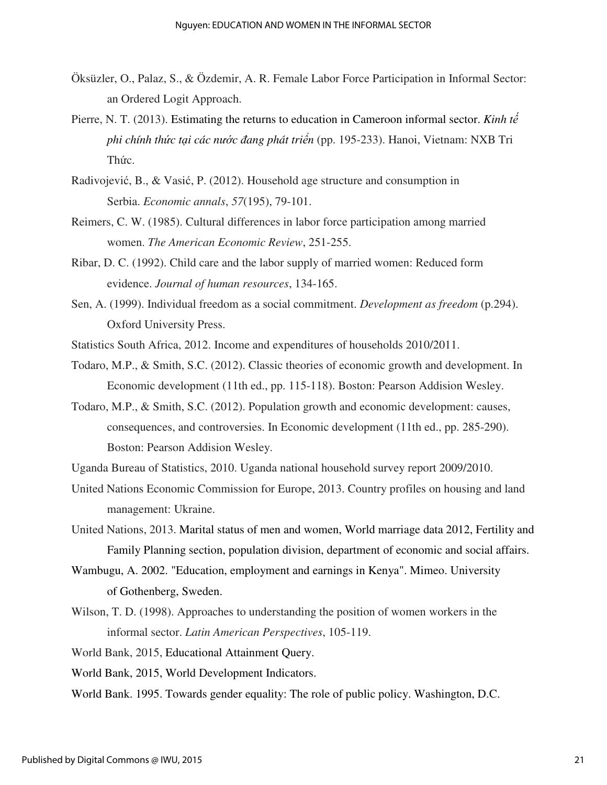- Öksüzler, O., Palaz, S., & Özdemir, A. R. Female Labor Force Participation in Informal Sector: an Ordered Logit Approach.
- Pierre, N. T. (2013). Estimating the returns to education in Cameroon informal sector. *Kinh t*ế *phi chính th*ứ*c t*ạ*i các n*ướ*c* ñ*ang phát tri*ể*n* (pp. 195-233). Hanoi, Vietnam: NXB Tri Thức.
- Radivojević, B., & Vasić, P. (2012). Household age structure and consumption in Serbia. *Economic annals*, *57*(195), 79-101.
- Reimers, C. W. (1985). Cultural differences in labor force participation among married women. *The American Economic Review*, 251-255.
- Ribar, D. C. (1992). Child care and the labor supply of married women: Reduced form evidence. *Journal of human resources*, 134-165.
- Sen, A. (1999). Individual freedom as a social commitment. *Development as freedom* (p.294). Oxford University Press.
- Statistics South Africa, 2012. Income and expenditures of households 2010/2011.
- Todaro, M.P., & Smith, S.C. (2012). Classic theories of economic growth and development. In Economic development (11th ed., pp. 115-118). Boston: Pearson Addision Wesley.
- Todaro, M.P., & Smith, S.C. (2012). Population growth and economic development: causes, consequences, and controversies. In Economic development (11th ed., pp. 285-290). Boston: Pearson Addision Wesley.
- Uganda Bureau of Statistics, 2010. Uganda national household survey report 2009/2010.
- United Nations Economic Commission for Europe, 2013. Country profiles on housing and land management: Ukraine.
- United Nations, 2013. Marital status of men and women, World marriage data 2012, Fertility and Family Planning section, population division, department of economic and social affairs.
- Wambugu, A. 2002. "Education, employment and earnings in Kenya". Mimeo. University of Gothenberg, Sweden.
- Wilson, T. D. (1998). Approaches to understanding the position of women workers in the informal sector. *Latin American Perspectives*, 105-119.
- World Bank, 2015, Educational Attainment Query.
- World Bank, 2015, World Development Indicators.
- World Bank. 1995. Towards gender equality: The role of public policy. Washington, D.C.